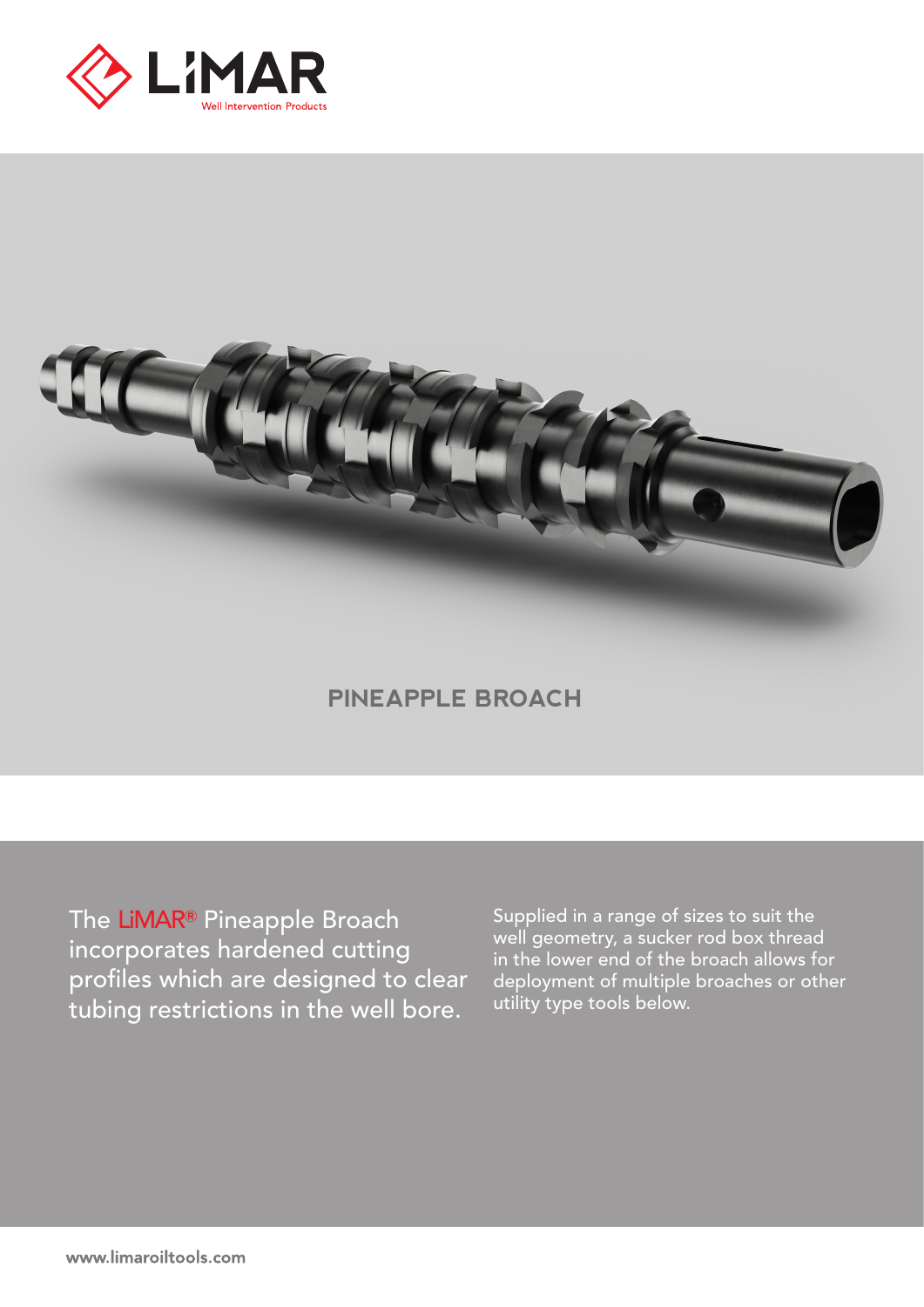



## **PINEAPPLE BROACH**

The LiMAR**®** Pineapple Broach incorporates hardened cutting profiles which are designed to clear tubing restrictions in the well bore.

Supplied in a range of sizes to suit the well geometry, a sucker rod box thread in the lower end of the broach allows for deployment of multiple broaches or other utility type tools below.